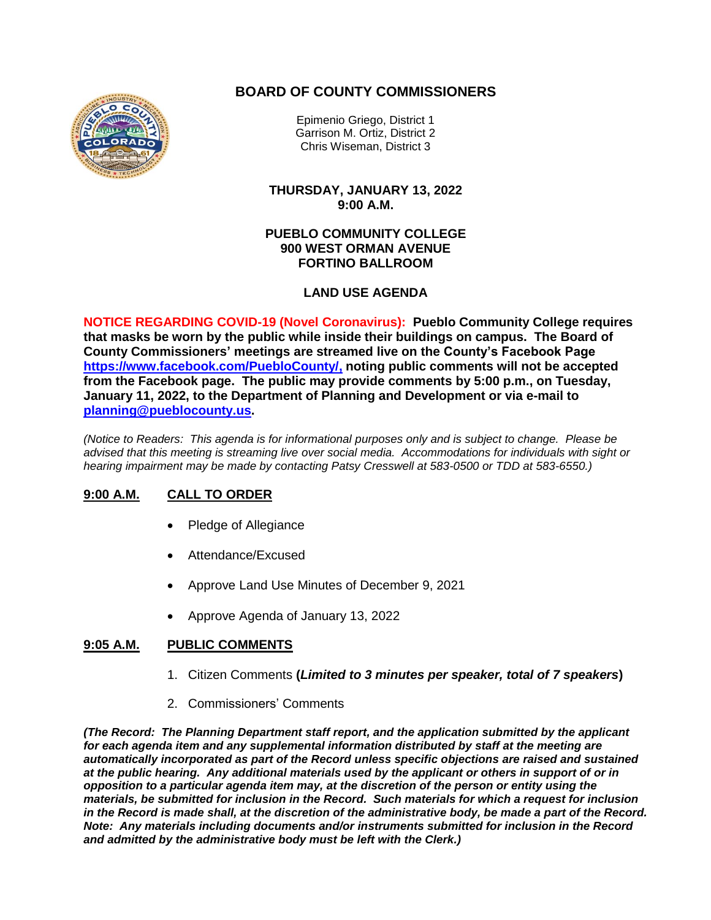# **BOARD OF COUNTY COMMISSIONERS**



Epimenio Griego, District 1 Garrison M. Ortiz, District 2 Chris Wiseman, District 3

**THURSDAY, JANUARY 13, 2022 9:00 A.M.**

#### **PUEBLO COMMUNITY COLLEGE 900 WEST ORMAN AVENUE FORTINO BALLROOM**

## **LAND USE AGENDA**

**NOTICE REGARDING COVID-19 (Novel Coronavirus): Pueblo Community College requires that masks be worn by the public while inside their buildings on campus. The Board of County Commissioners' meetings are streamed live on the County's Facebook Page [https://www.facebook.com/PuebloCounty/,](https://www.facebook.com/PuebloCounty/) noting public comments will not be accepted from the Facebook page. The public may provide comments by 5:00 p.m., on Tuesday, January 11, 2022, to the Department of Planning and Development or via e-mail to [planning@pueblocounty.us.](mailto:planning@pueblocounty.us)**

*(Notice to Readers: This agenda is for informational purposes only and is subject to change. Please be advised that this meeting is streaming live over social media. Accommodations for individuals with sight or hearing impairment may be made by contacting Patsy Cresswell at 583-0500 or TDD at 583-6550.)*

# **9:00 A.M. CALL TO ORDER**

- Pledge of Allegiance
- Attendance/Excused
- Approve Land Use Minutes of December 9, 2021
- Approve Agenda of January 13, 2022

### **9:05 A.M. PUBLIC COMMENTS**

- 1. Citizen Comments **(***Limited to 3 minutes per speaker, total of 7 speakers***)**
- 2. Commissioners' Comments

*(The Record: The Planning Department staff report, and the application submitted by the applicant for each agenda item and any supplemental information distributed by staff at the meeting are automatically incorporated as part of the Record unless specific objections are raised and sustained at the public hearing. Any additional materials used by the applicant or others in support of or in opposition to a particular agenda item may, at the discretion of the person or entity using the materials, be submitted for inclusion in the Record. Such materials for which a request for inclusion in the Record is made shall, at the discretion of the administrative body, be made a part of the Record. Note: Any materials including documents and/or instruments submitted for inclusion in the Record and admitted by the administrative body must be left with the Clerk.)*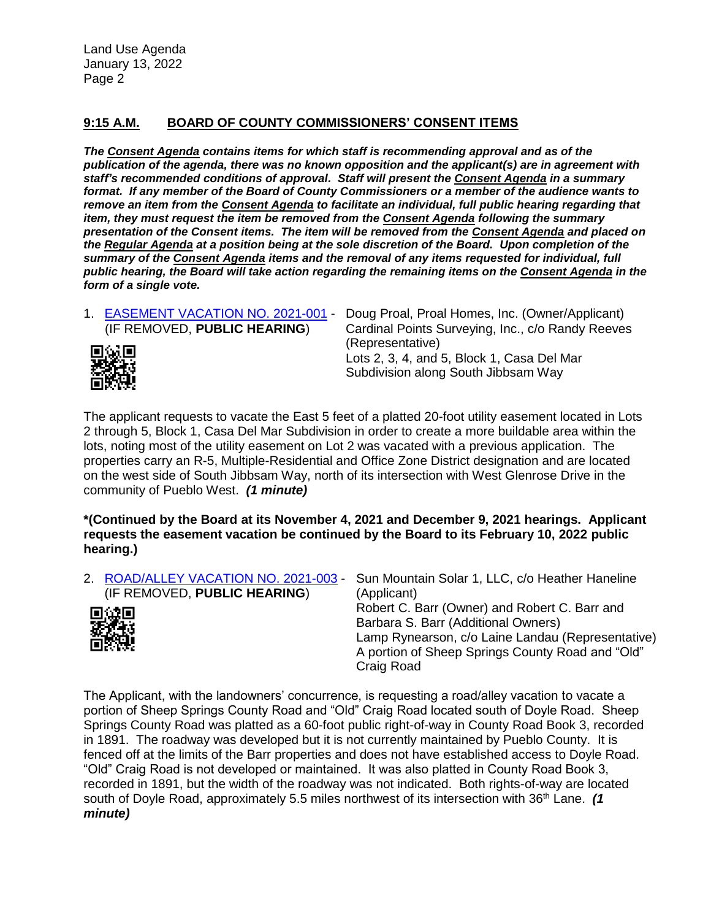# **9:15 A.M. BOARD OF COUNTY COMMISSIONERS' CONSENT ITEMS**

*The Consent Agenda contains items for which staff is recommending approval and as of the publication of the agenda, there was no known opposition and the applicant(s) are in agreement with staff's recommended conditions of approval. Staff will present the Consent Agenda in a summary format. If any member of the Board of County Commissioners or a member of the audience wants to remove an item from the Consent Agenda to facilitate an individual, full public hearing regarding that item, they must request the item be removed from the Consent Agenda following the summary presentation of the Consent items. The item will be removed from the Consent Agenda and placed on the Regular Agenda at a position being at the sole discretion of the Board. Upon completion of the summary of the Consent Agenda items and the removal of any items requested for individual, full public hearing, the Board will take action regarding the remaining items on the Consent Agenda in the form of a single vote.*



1. [EASEMENT VACATION](http://www.co.pueblo.co.us/cgi-bin/webformbroker.wsc/cases3.p?caseNum=EV%202021-001) NO. 2021-001 - Doug Proal, Proal Homes, Inc. (Owner/Applicant) (IF REMOVED, **PUBLIC HEARING**) Cardinal Points Surveying, Inc., c/o Randy Reeves (Representative) Lots 2, 3, 4, and 5, Block 1, Casa Del Mar Subdivision along South Jibbsam Way

The applicant requests to vacate the East 5 feet of a platted 20-foot utility easement located in Lots 2 through 5, Block 1, Casa Del Mar Subdivision in order to create a more buildable area within the lots, noting most of the utility easement on Lot 2 was vacated with a previous application. The properties carry an R-5, Multiple-Residential and Office Zone District designation and are located on the west side of South Jibbsam Way, north of its intersection with West Glenrose Drive in the community of Pueblo West. *(1 minute)*

**\*(Continued by the Board at its November 4, 2021 and December 9, 2021 hearings. Applicant requests the easement vacation be continued by the Board to its February 10, 2022 public hearing.)**

| 2. ROAD/ALLEY VACATION NO. 2021-003 - | Sun Mountain Solar 1, LLC, c/o Heather Haneline                                                                                                                                                                    |
|---------------------------------------|--------------------------------------------------------------------------------------------------------------------------------------------------------------------------------------------------------------------|
| (IF REMOVED, PUBLIC HEARING)          | (Applicant)                                                                                                                                                                                                        |
| ■<br>数据<br>画数据                        | Robert C. Barr (Owner) and Robert C. Barr and<br>Barbara S. Barr (Additional Owners)<br>Lamp Rynearson, c/o Laine Landau (Representative)<br>A portion of Sheep Springs County Road and "Old"<br><b>Craig Road</b> |

The Applicant, with the landowners' concurrence, is requesting a road/alley vacation to vacate a portion of Sheep Springs County Road and "Old" Craig Road located south of Doyle Road. Sheep Springs County Road was platted as a 60-foot public right-of-way in County Road Book 3, recorded in 1891. The roadway was developed but it is not currently maintained by Pueblo County. It is fenced off at the limits of the Barr properties and does not have established access to Doyle Road. "Old" Craig Road is not developed or maintained. It was also platted in County Road Book 3, recorded in 1891, but the width of the roadway was not indicated. Both rights-of-way are located south of Doyle Road, approximately 5.5 miles northwest of its intersection with 36th Lane. *(1 minute)*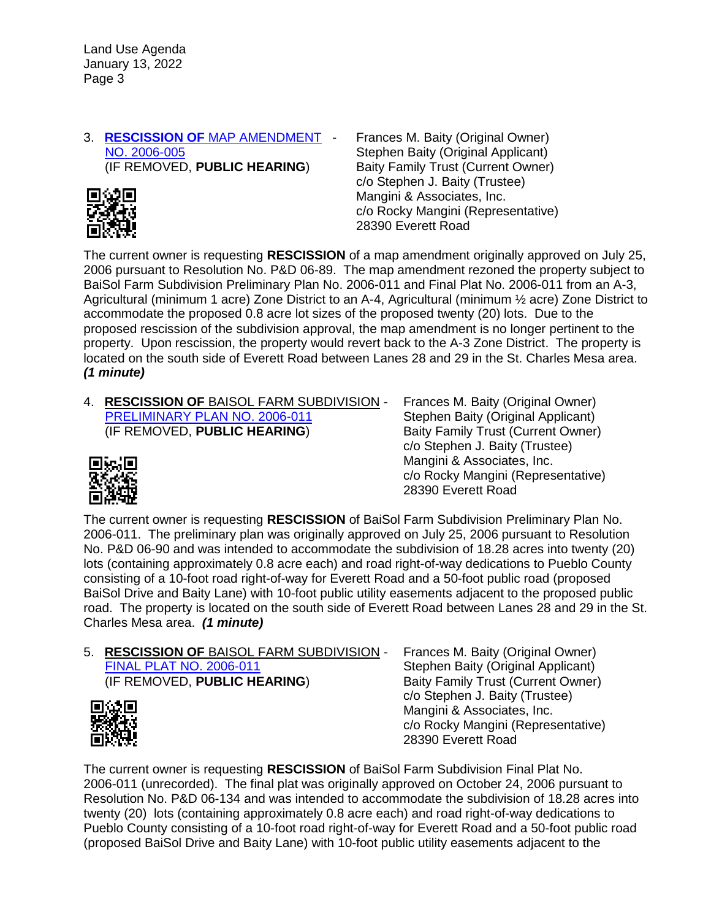#### 3. **RESCISSION OF** [MAP AMENDMENT](http://www.co.pueblo.co.us/cgi-bin/webformbroker.wsc/cases3.p?caseNum=MA%202006-005) -  [NO. 2006-005](http://www.co.pueblo.co.us/cgi-bin/webformbroker.wsc/cases3.p?caseNum=MA%202006-005) (IF REMOVED, **PUBLIC HEARING**)



Frances M. Baity (Original Owner) Stephen Baity (Original Applicant) Baity Family Trust (Current Owner) c/o Stephen J. Baity (Trustee) Mangini & Associates, Inc. c/o Rocky Mangini (Representative) 28390 Everett Road

The current owner is requesting **RESCISSION** of a map amendment originally approved on July 25, 2006 pursuant to Resolution No. P&D 06-89. The map amendment rezoned the property subject to BaiSol Farm Subdivision Preliminary Plan No. 2006-011 and Final Plat No. 2006-011 from an A-3, Agricultural (minimum 1 acre) Zone District to an A-4, Agricultural (minimum ½ acre) Zone District to accommodate the proposed 0.8 acre lot sizes of the proposed twenty (20) lots. Due to the proposed rescission of the subdivision approval, the map amendment is no longer pertinent to the property. Upon rescission, the property would revert back to the A-3 Zone District. The property is located on the south side of Everett Road between Lanes 28 and 29 in the St. Charles Mesa area. *(1 minute)*

4. **RESCISSION OF** BAISOL FARM SUBDIVISION - PRELIMINARY [PLAN NO. 2006-011](http://www.co.pueblo.co.us/cgi-bin/webformbroker.wsc/cases3.p?caseNum=PRELIM%202006-011) (IF REMOVED, **PUBLIC HEARING**)

Frances M. Baity (Original Owner) Stephen Baity (Original Applicant) Baity Family Trust (Current Owner) c/o Stephen J. Baity (Trustee) Mangini & Associates, Inc. c/o Rocky Mangini (Representative) 28390 Everett Road

回転返回

The current owner is requesting **RESCISSION** of BaiSol Farm Subdivision Preliminary Plan No. 2006-011. The preliminary plan was originally approved on July 25, 2006 pursuant to Resolution No. P&D 06-90 and was intended to accommodate the subdivision of 18.28 acres into twenty (20) lots (containing approximately 0.8 acre each) and road right-of-way dedications to Pueblo County consisting of a 10-foot road right-of-way for Everett Road and a 50-foot public road (proposed BaiSol Drive and Baity Lane) with 10-foot public utility easements adjacent to the proposed public road. The property is located on the south side of Everett Road between Lanes 28 and 29 in the St. Charles Mesa area. *(1 minute)*

5. **RESCISSION OF** BAISOL FARM SUBDIVISION - [FINAL PLAT NO. 2006-011](http://www.co.pueblo.co.us/cgi-bin/webformbroker.wsc/cases3.p?caseNum=FINAL%202020-001) (IF REMOVED, **PUBLIC HEARING**) Baity Family Trust (Current Owner)



Frances M. Baity (Original Owner) Stephen Baity (Original Applicant) c/o Stephen J. Baity (Trustee) Mangini & Associates, Inc. c/o Rocky Mangini (Representative) 28390 Everett Road

The current owner is requesting **RESCISSION** of BaiSol Farm Subdivision Final Plat No. 2006-011 (unrecorded). The final plat was originally approved on October 24, 2006 pursuant to Resolution No. P&D 06-134 and was intended to accommodate the subdivision of 18.28 acres into twenty (20) lots (containing approximately 0.8 acre each) and road right-of-way dedications to Pueblo County consisting of a 10-foot road right-of-way for Everett Road and a 50-foot public road (proposed BaiSol Drive and Baity Lane) with 10-foot public utility easements adjacent to the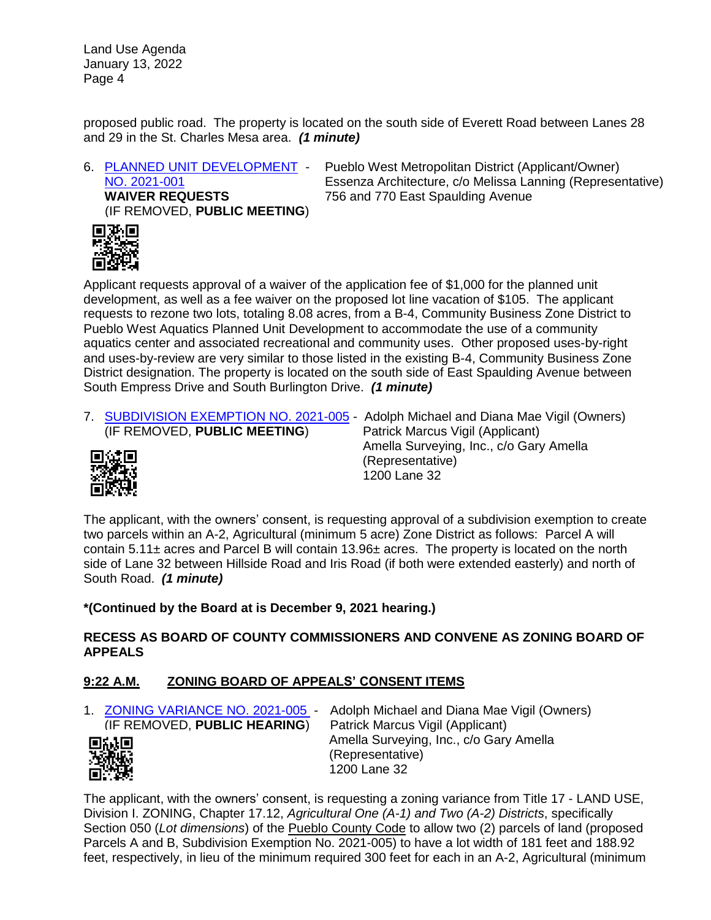proposed public road. The property is located on the south side of Everett Road between Lanes 28 and 29 in the St. Charles Mesa area. *(1 minute)*

6. [PLANNED UNIT DEVELOPMENT -](http://www.co.pueblo.co.us/cgi-bin/webformbroker.wsc/cases3.p?caseNum=PUD%202021-001) [NO. 2021-001](http://www.co.pueblo.co.us/cgi-bin/webformbroker.wsc/cases3.p?caseNum=PUD%202021-001) **WAIVER REQUESTS** (IF REMOVED, **PUBLIC MEETING**)

Pueblo West Metropolitan District (Applicant/Owner) Essenza Architecture, c/o Melissa Lanning (Representative) 756 and 770 East Spaulding Avenue



Applicant requests approval of a waiver of the application fee of \$1,000 for the planned unit development, as well as a fee waiver on the proposed lot line vacation of \$105. The applicant requests to rezone two lots, totaling 8.08 acres, from a B-4, Community Business Zone District to Pueblo West Aquatics Planned Unit Development to accommodate the use of a community aquatics center and associated recreational and community uses. Other proposed uses-by-right and uses-by-review are very similar to those listed in the existing B-4, Community Business Zone District designation. The property is located on the south side of East Spaulding Avenue between South Empress Drive and South Burlington Drive. *(1 minute)*

7. [SUBDIVISION EXEMPTION NO. 2021-005](http://www.co.pueblo.co.us/cgi-bin/webformbroker.wsc/cases3.p?caseNum=SDE%202021-005) - Adolph Michael and Diana Mae Vigil (Owners) (IF REMOVED, **PUBLIC MEETING**) Patrick Marcus Vigil (Applicant)



 Amella Surveying, Inc., c/o Gary Amella (Representative) 1200 Lane 32

The applicant, with the owners' consent, is requesting approval of a subdivision exemption to create two parcels within an A-2, Agricultural (minimum 5 acre) Zone District as follows: Parcel A will contain  $5.11\pm$  acres and Parcel B will contain  $13.96\pm$  acres. The property is located on the north side of Lane 32 between Hillside Road and Iris Road (if both were extended easterly) and north of South Road. *(1 minute)*

# **\*(Continued by the Board at is December 9, 2021 hearing.)**

## **RECESS AS BOARD OF COUNTY COMMISSIONERS AND CONVENE AS ZONING BOARD OF APPEALS**

# **9:22 A.M. ZONING BOARD OF APPEALS' CONSENT ITEMS**

1. [ZONING VARIANCE NO. 2021-005](http://www.co.pueblo.co.us/cgi-bin/webformbroker.wsc/cases3.p?caseNum=ZV%202021-005) - Adolph Michael and Diana Mae Vigil (Owners) (IF REMOVED, **PUBLIC HEARING**) Patrick Marcus Vigil (Applicant) Amella Surveying, Inc., c/o Gary Amella 回缺回 (Representative) 1200 Lane 32

The applicant, with the owners' consent, is requesting a zoning variance from Title 17 - LAND USE, Division I. ZONING, Chapter 17.12, *Agricultural One (A-1) and Two (A-2) Districts*, specifically Section 050 (*Lot dimensions*) of the Pueblo County Code to allow two (2) parcels of land (proposed Parcels A and B, Subdivision Exemption No. 2021-005) to have a lot width of 181 feet and 188.92 feet, respectively, in lieu of the minimum required 300 feet for each in an A-2, Agricultural (minimum